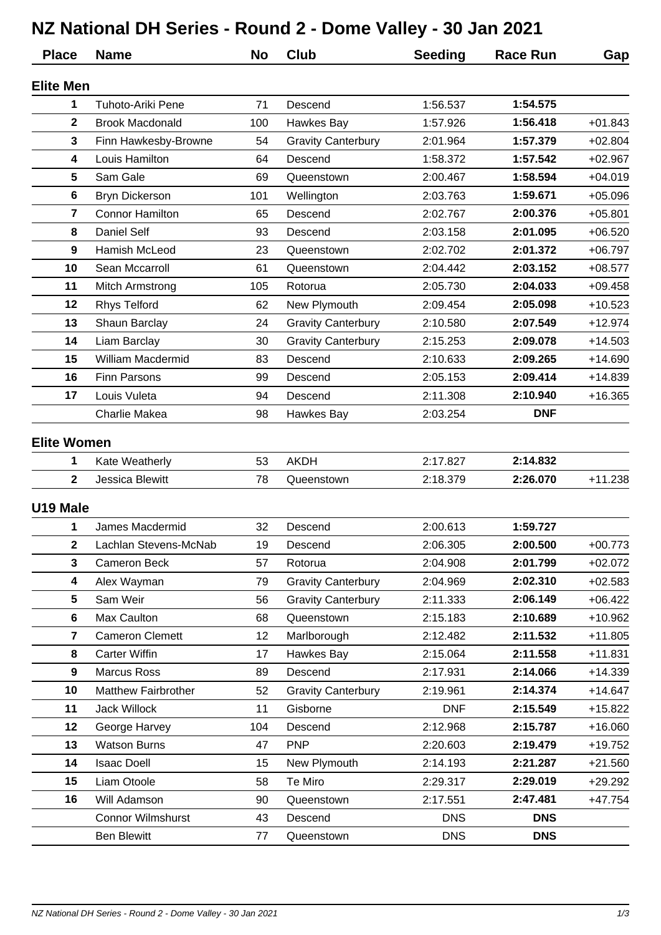## **NZ National DH Series - Round 2 - Dome Valley - 30 Jan 2021**

| <b>Place</b>       | <b>Name</b>                | <b>No</b> | Club                      | <b>Seeding</b> | <b>Race Run</b> | Gap       |
|--------------------|----------------------------|-----------|---------------------------|----------------|-----------------|-----------|
| <b>Elite Men</b>   |                            |           |                           |                |                 |           |
| 1                  | <b>Tuhoto-Ariki Pene</b>   | 71        | Descend                   | 1:56.537       | 1:54.575        |           |
| $\mathbf{2}$       | <b>Brook Macdonald</b>     | 100       | Hawkes Bay                | 1:57.926       | 1:56.418        | $+01.843$ |
| 3                  | Finn Hawkesby-Browne       | 54        | <b>Gravity Canterbury</b> | 2:01.964       | 1:57.379        | $+02.804$ |
| 4                  | Louis Hamilton             | 64        | Descend                   | 1:58.372       | 1:57.542        | $+02.967$ |
| 5                  | Sam Gale                   | 69        | Queenstown                | 2:00.467       | 1:58.594        | $+04.019$ |
| 6                  | <b>Bryn Dickerson</b>      | 101       | Wellington                | 2:03.763       | 1:59.671        | $+05.096$ |
| $\overline{7}$     | <b>Connor Hamilton</b>     | 65        | Descend                   | 2:02.767       | 2:00.376        | $+05.801$ |
| 8                  | <b>Daniel Self</b>         | 93        | Descend                   | 2:03.158       | 2:01.095        | $+06.520$ |
| 9                  | Hamish McLeod              | 23        | Queenstown                | 2:02.702       | 2:01.372        | $+06.797$ |
| 10                 | Sean Mccarroll             | 61        | Queenstown                | 2:04.442       | 2:03.152        | $+08.577$ |
| 11                 | Mitch Armstrong            | 105       | Rotorua                   | 2:05.730       | 2:04.033        | $+09.458$ |
| 12                 | <b>Rhys Telford</b>        | 62        | New Plymouth              | 2:09.454       | 2:05.098        | $+10.523$ |
| 13                 | Shaun Barclay              | 24        | <b>Gravity Canterbury</b> | 2:10.580       | 2:07.549        | $+12.974$ |
| 14                 | Liam Barclay               | 30        | <b>Gravity Canterbury</b> | 2:15.253       | 2:09.078        | $+14.503$ |
| 15                 | William Macdermid          | 83        | Descend                   | 2:10.633       | 2:09.265        | $+14.690$ |
| 16                 | <b>Finn Parsons</b>        | 99        | Descend                   | 2:05.153       | 2:09.414        | $+14.839$ |
| 17                 | Louis Vuleta               | 94        | Descend                   | 2:11.308       | 2:10.940        | $+16.365$ |
|                    | <b>Charlie Makea</b>       | 98        | Hawkes Bay                | 2:03.254       | <b>DNF</b>      |           |
| <b>Elite Women</b> |                            |           |                           |                |                 |           |
| 1                  | Kate Weatherly             | 53        | <b>AKDH</b>               | 2:17.827       | 2:14.832        |           |
| $\mathbf{2}$       | Jessica Blewitt            | 78        | Queenstown                | 2:18.379       | 2:26.070        | $+11.238$ |
| U19 Male           |                            |           |                           |                |                 |           |
| 1                  | James Macdermid            | 32        | Descend                   | 2:00.613       | 1:59.727        |           |
| $\mathbf{2}$       | Lachlan Stevens-McNab      | 19        | Descend                   | 2:06.305       | 2:00.500        | $+00.773$ |
| 3                  | Cameron Beck               | 57        | Rotorua                   | 2:04.908       | 2:01.799        | $+02.072$ |
| 4                  | Alex Wayman                | 79        | <b>Gravity Canterbury</b> | 2:04.969       | 2:02.310        | $+02.583$ |
| 5                  | Sam Weir                   | 56        | <b>Gravity Canterbury</b> | 2:11.333       | 2:06.149        | $+06.422$ |
| 6                  | Max Caulton                | 68        | Queenstown                | 2:15.183       | 2:10.689        | $+10.962$ |
| 7                  | <b>Cameron Clemett</b>     | 12        | Marlborough               | 2:12.482       | 2:11.532        | $+11.805$ |
| 8                  | <b>Carter Wiffin</b>       | 17        | Hawkes Bay                | 2:15.064       | 2:11.558        | $+11.831$ |
| 9                  | <b>Marcus Ross</b>         | 89        | Descend                   | 2:17.931       | 2:14.066        | $+14.339$ |
| 10                 | <b>Matthew Fairbrother</b> | 52        | <b>Gravity Canterbury</b> | 2:19.961       | 2:14.374        | $+14.647$ |
| 11                 | Jack Willock               | 11        | Gisborne                  | <b>DNF</b>     | 2:15.549        | $+15.822$ |
| 12                 | George Harvey              | 104       | Descend                   | 2:12.968       | 2:15.787        | $+16.060$ |
| 13                 | <b>Watson Burns</b>        | 47        | <b>PNP</b>                | 2:20.603       | 2:19.479        | $+19.752$ |
| 14                 | <b>Isaac Doell</b>         | 15        | New Plymouth              | 2:14.193       | 2:21.287        | $+21.560$ |
| 15                 | Liam Otoole                | 58        | Te Miro                   | 2:29.317       | 2:29.019        | $+29.292$ |
| 16                 | Will Adamson               | 90        | Queenstown                | 2:17.551       | 2:47.481        | +47.754   |
|                    | <b>Connor Wilmshurst</b>   | 43        | Descend                   | <b>DNS</b>     | <b>DNS</b>      |           |
|                    | <b>Ben Blewitt</b>         | 77        | Queenstown                | <b>DNS</b>     | <b>DNS</b>      |           |
|                    |                            |           |                           |                |                 |           |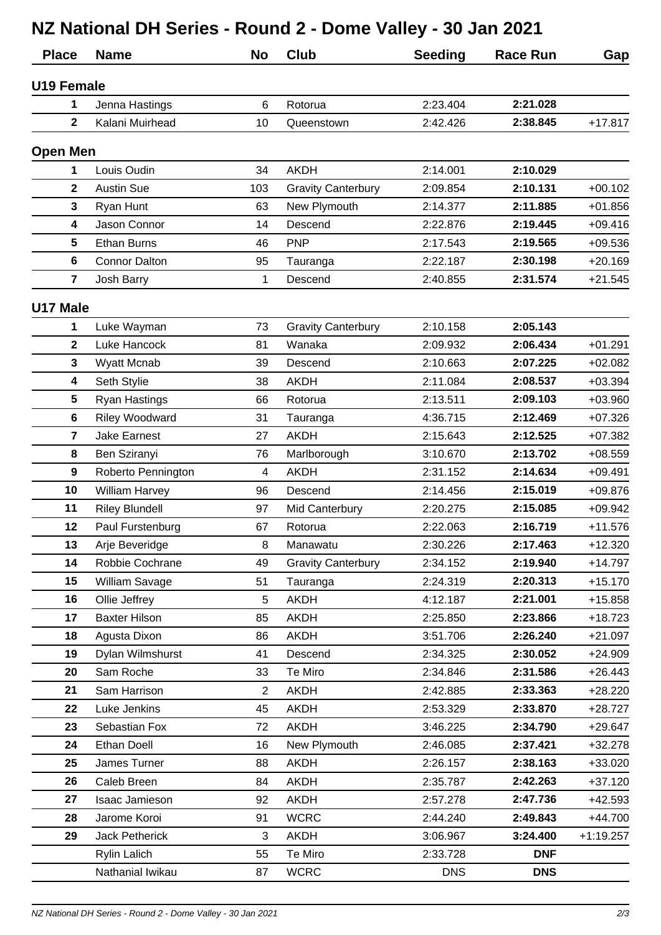## **NZ National DH Series - Round 2 - Dome Valley - 30 Jan 2021**

| <b>Place</b>            | <b>Name</b>           | <b>No</b>      | <b>Club</b>               | <b>Seeding</b> | <b>Race Run</b> | Gap         |
|-------------------------|-----------------------|----------------|---------------------------|----------------|-----------------|-------------|
| U19 Female              |                       |                |                           |                |                 |             |
| 1                       | Jenna Hastings        | 6              | Rotorua                   | 2:23.404       | 2:21.028        |             |
| $\mathbf{2}$            | Kalani Muirhead       | 10             | Queenstown                | 2:42.426       | 2:38.845        | $+17.817$   |
| <b>Open Men</b>         |                       |                |                           |                |                 |             |
| 1                       | Louis Oudin           | 34             | <b>AKDH</b>               | 2:14.001       | 2:10.029        |             |
| $\mathbf{2}$            | <b>Austin Sue</b>     | 103            | <b>Gravity Canterbury</b> | 2:09.854       | 2:10.131        | $+00.102$   |
| 3                       | Ryan Hunt             | 63             | New Plymouth              | 2:14.377       | 2:11.885        | $+01.856$   |
| 4                       | Jason Connor          | 14             | Descend                   | 2:22.876       | 2:19.445        | $+09.416$   |
| 5                       | <b>Ethan Burns</b>    | 46             | <b>PNP</b>                | 2:17.543       | 2:19.565        | $+09.536$   |
| 6                       | <b>Connor Dalton</b>  | 95             | Tauranga                  | 2:22.187       | 2:30.198        | $+20.169$   |
| $\overline{7}$          | <b>Josh Barry</b>     | 1              | Descend                   | 2:40.855       | 2:31.574        | $+21.545$   |
| U17 Male                |                       |                |                           |                |                 |             |
| 1                       | Luke Wayman           | 73             | <b>Gravity Canterbury</b> | 2:10.158       | 2:05.143        |             |
| $\mathbf{2}$            | <b>Luke Hancock</b>   | 81             | Wanaka                    | 2:09.932       | 2:06.434        | $+01.291$   |
| 3                       | Wyatt Mcnab           | 39             | Descend                   | 2:10.663       | 2:07.225        | $+02.082$   |
| 4                       | Seth Stylie           | 38             | <b>AKDH</b>               | 2:11.084       | 2:08.537        | $+03.394$   |
| 5                       | <b>Ryan Hastings</b>  | 66             | Rotorua                   | 2:13.511       | 2:09.103        | $+03.960$   |
| 6                       | Riley Woodward        | 31             | Tauranga                  | 4:36.715       | 2:12.469        | $+07.326$   |
| $\overline{\mathbf{7}}$ | <b>Jake Earnest</b>   | 27             | <b>AKDH</b>               | 2:15.643       | 2:12.525        | $+07.382$   |
| 8                       | Ben Sziranyi          | 76             | Marlborough               | 3:10.670       | 2:13.702        | $+08.559$   |
| $\boldsymbol{9}$        | Roberto Pennington    | 4              | <b>AKDH</b>               | 2:31.152       | 2:14.634        | $+09.491$   |
| 10                      | <b>William Harvey</b> | 96             | Descend                   | 2:14.456       | 2:15.019        | $+09.876$   |
| 11                      | <b>Riley Blundell</b> | 97             | Mid Canterbury            | 2:20.275       | 2:15.085        | $+09.942$   |
| 12                      | Paul Furstenburg      | 67             | Rotorua                   | 2:22.063       | 2:16.719        | $+11.576$   |
| 13                      | Arje Beveridge        | 8              | Manawatu                  | 2:30.226       | 2:17.463        | $+12.320$   |
| 14                      | Robbie Cochrane       | 49             | <b>Gravity Canterbury</b> | 2:34.152       | 2:19.940        | $+14.797$   |
| 15                      | William Savage        | 51             | Tauranga                  | 2:24.319       | 2:20.313        | $+15.170$   |
| 16                      | Ollie Jeffrey         | 5              | AKDH                      | 4:12.187       | 2:21.001        | $+15.858$   |
| 17                      | <b>Baxter Hilson</b>  | 85             | <b>AKDH</b>               | 2:25.850       | 2:23.866        | $+18.723$   |
| 18                      | Agusta Dixon          | 86             | <b>AKDH</b>               | 3:51.706       | 2:26.240        | $+21.097$   |
| 19                      | Dylan Wilmshurst      | 41             | Descend                   | 2:34.325       | 2:30.052        | $+24.909$   |
| 20                      | Sam Roche             | 33             | Te Miro                   | 2:34.846       | 2:31.586        | $+26.443$   |
| 21                      | Sam Harrison          | $\overline{2}$ | <b>AKDH</b>               | 2:42.885       | 2:33.363        | $+28.220$   |
| 22                      | Luke Jenkins          | 45             | <b>AKDH</b>               | 2:53.329       | 2:33.870        | $+28.727$   |
| 23                      | Sebastian Fox         | 72             | <b>AKDH</b>               | 3:46.225       | 2:34.790        | $+29.647$   |
| 24                      | <b>Ethan Doell</b>    | 16             | New Plymouth              | 2:46.085       | 2:37.421        | $+32.278$   |
| 25                      | James Turner          | 88             | <b>AKDH</b>               | 2:26.157       | 2:38.163        | +33.020     |
| 26                      | Caleb Breen           | 84             | <b>AKDH</b>               | 2:35.787       | 2:42.263        | $+37.120$   |
| 27                      | Isaac Jamieson        | 92             | AKDH                      | 2:57.278       | 2:47.736        | +42.593     |
| 28                      | Jarome Koroi          | 91             | <b>WCRC</b>               | 2:44.240       | 2:49.843        | $+44.700$   |
| 29                      | <b>Jack Petherick</b> | 3              | <b>AKDH</b>               | 3:06.967       | 3:24.400        | $+1:19.257$ |
|                         | <b>Rylin Lalich</b>   | 55             | Te Miro                   | 2:33.728       | <b>DNF</b>      |             |
|                         | Nathanial Iwikau      | 87             | <b>WCRC</b>               | <b>DNS</b>     | <b>DNS</b>      |             |
|                         |                       |                |                           |                |                 |             |